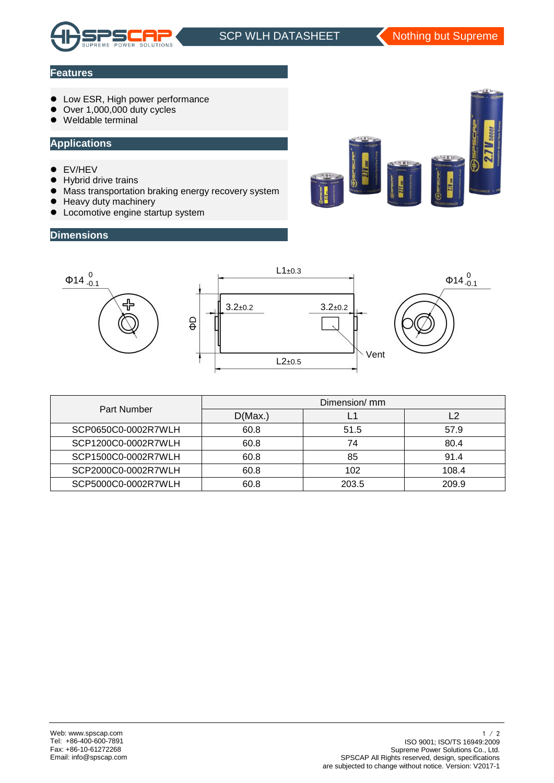

j.

### **Features**

- **Low ESR, High power performance**
- Over 1,000,000 duty cycles
- Weldable terminal

#### **Applications**

- **•** EV/HEV
- **•** Hybrid drive trains
- $\bullet$  Mass transportation braking energy recovery system
- Heavy duty machinery
- **•** Locomotive engine startup system

### **Dimensions**





| Part Number         | Dimension/ mm |       |       |  |  |
|---------------------|---------------|-------|-------|--|--|
|                     | D(Max.)       |       | i 2   |  |  |
| SCP0650C0-0002R7WLH | 60.8          | 51.5  | 57.9  |  |  |
| SCP1200C0-0002R7WLH | 60.8          | 74    | 80.4  |  |  |
| SCP1500C0-0002R7WLH | 60.8          | 85    | 91.4  |  |  |
| SCP2000C0-0002R7WLH | 60.8          | 102   | 108.4 |  |  |
| SCP5000C0-0002R7WLH | 60.8          | 203.5 | 209.9 |  |  |